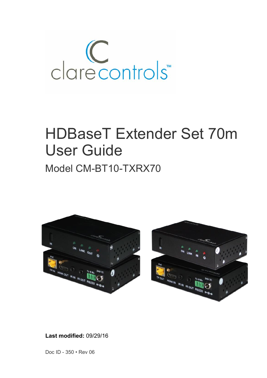

# HDBaseT Extender Set 70m User Guide Model CM-BT10-TXRX70



**Last modified:** 09/29/16

Doc ID - 350 • Rev 06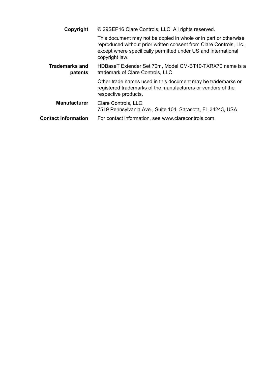| Copyright                        | © 29SEP16 Clare Controls, LLC. All rights reserved.                                                                                                                                                                         |  |  |
|----------------------------------|-----------------------------------------------------------------------------------------------------------------------------------------------------------------------------------------------------------------------------|--|--|
|                                  | This document may not be copied in whole or in part or otherwise<br>reproduced without prior written consent from Clare Controls, Llc.,<br>except where specifically permitted under US and international<br>copyright law. |  |  |
| <b>Trademarks and</b><br>patents | HDBaseT Extender Set 70m, Model CM-BT10-TXRX70 name is a<br>trademark of Clare Controls, LLC.                                                                                                                               |  |  |
|                                  | Other trade names used in this document may be trademarks or<br>registered trademarks of the manufacturers or vendors of the<br>respective products.                                                                        |  |  |
| <b>Manufacturer</b>              | Clare Controls, LLC.<br>7519 Pennsylvania Ave., Suite 104, Sarasota, FL 34243, USA                                                                                                                                          |  |  |
| <b>Contact information</b>       | For contact information, see www.clarecontrols.com.                                                                                                                                                                         |  |  |
|                                  |                                                                                                                                                                                                                             |  |  |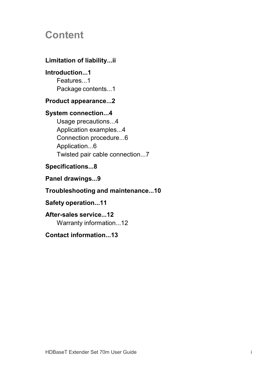## **Content**

### **Limitation of liability...ii**

**Introduction...1** Features...1 Package contents...1

#### **Product appearance...2**

### **System connection...4**

Usage precautions...4 Application examples...4 Connection procedure...6 Application...6 Twisted pair cable connection...7

### **Specifications...8**

**Panel drawings...9**

#### **Troubleshooting and maintenance...10**

#### **Safety operation...11**

#### **After-sales service...12** Warranty information...12

### **Contact information...13**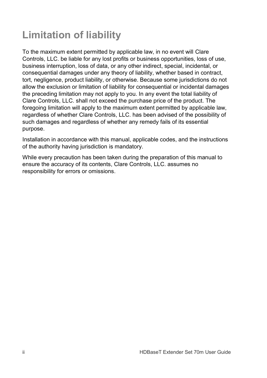## **Limitation of liability**

To the maximum extent permitted by applicable law, in no event will Clare Controls, LLC. be liable for any lost profits or business opportunities, loss of use, business interruption, loss of data, or any other indirect, special, incidental, or consequential damages under any theory of liability, whether based in contract, tort, negligence, product liability, or otherwise. Because some jurisdictions do not allow the exclusion or limitation of liability for consequential or incidental damages the preceding limitation may not apply to you. In any event the total liability of Clare Controls, LLC. shall not exceed the purchase price of the product. The foregoing limitation will apply to the maximum extent permitted by applicable law, regardless of whether Clare Controls, LLC. has been advised of the possibility of such damages and regardless of whether any remedy fails of its essential purpose.

Installation in accordance with this manual, applicable codes, and the instructions of the authority having jurisdiction is mandatory.

While every precaution has been taken during the preparation of this manual to ensure the accuracy of its contents, Clare Controls, LLC. assumes no responsibility for errors or omissions.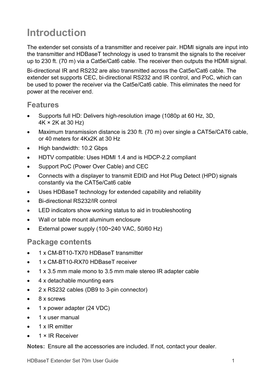## **Introduction**

The extender set consists of a transmitter and receiver pair. HDMI signals are input into the transmitter and HDBaseT technology is used to transmit the signals to the receiver up to 230 ft. (70 m) via a Cat5e/Cat6 cable. The receiver then outputs the HDMI signal.

Bi-directional IR and RS232 are also transmitted across the Cat5e/Cat6 cable. The extender set supports CEC, bi-directional RS232 and IR control, and PoC, which can be used to power the receiver via the Cat5e/Cat6 cable. This eliminates the need for power at the receiver end.

### **Features**

- Supports full HD: Delivers high-resolution image (1080p at 60 Hz, 3D, 4K × 2K at 30 Hz)
- Maximum transmission distance is 230 ft. (70 m) over single a CAT5e/CAT6 cable, or 40 meters for 4Kx2K at 30 Hz
- High bandwidth: 10.2 Gbps
- HDTV compatible: Uses HDMI 1.4 and is HDCP-2.2 compliant
- Support PoC (Power Over Cable) and CEC
- Connects with a displayer to transmit EDID and Hot Plug Detect (HPD) signals constantly via the CAT5e/Cat6 cable
- Uses HDBaseT technology for extended capability and reliability
- Bi-directional RS232/IR control
- LED indicators show working status to aid in troubleshooting
- Wall or table mount aluminum enclosure
- External power supply (100~240 VAC, 50/60 Hz)

### **Package contents**

- 1 x CM-BT10-TX70 HDBaseT transmitter
- 1 x CM-BT10-RX70 HDBaseT receiver
- 1 x 3.5 mm male mono to 3.5 mm male stereo IR adapter cable
- 4 x detachable mounting ears
- 2 x RS232 cables (DB9 to 3-pin connector)
- 8 x screws
- 1 x power adapter (24 VDC)
- 1 x user manual
- 1 x IR emitter
- $\bullet$  1  $\times$  IR Receiver

**Notes:** Ensure all the accessories are included. If not, contact your dealer.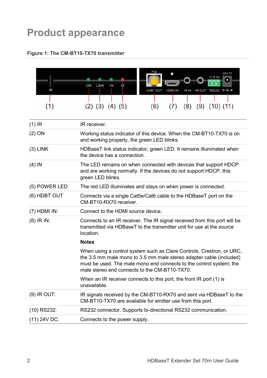## **Product appearance**

#### **Figure 1: The CM-BT10-TX70 transmitter**



| $(1)$ IR       | IR receiver.                                                                                                                                                                                                                                                         |  |  |
|----------------|----------------------------------------------------------------------------------------------------------------------------------------------------------------------------------------------------------------------------------------------------------------------|--|--|
| $(2)$ ON       | Working status indicator of this device. When the CM-BT10-TX70 is on<br>and working properly, the green LED blinks.                                                                                                                                                  |  |  |
| $(3)$ LINK     | HDBaseT link status indicator, green LED. It remains illuminated when<br>the device has a connection                                                                                                                                                                 |  |  |
| $(4)$ IN       | The LED remains on when connected with devices that support HDCP<br>and are working normally. If the devices do not support HDCP, this<br>green LED blinks.                                                                                                          |  |  |
| (5) POWER LED  | The red LED illuminates and stays on when power is connected.                                                                                                                                                                                                        |  |  |
| (6) HDBT OUT   | Connects via a single Cat5e/Cat6 cable to the HDBaseT port on the<br>CM-BT10-RX70 receiver.                                                                                                                                                                          |  |  |
| $(7)$ HDMI IN: | Connect to the HDMI source device.                                                                                                                                                                                                                                   |  |  |
| $(8)$ IR IN:   | Connects to an IR receiver. The IR signal received from this port will be<br>transmitted via HDBaseT to the transmitter unit for use at the source<br>location.                                                                                                      |  |  |
|                | <b>Notes</b>                                                                                                                                                                                                                                                         |  |  |
|                | When using a control system such as Clare Controls, Crestron, or URC,<br>the 3.5 mm male mono to 3.5 mm male stereo adapter cable (included)<br>must be used. The male mono end connects to the control system; the<br>male stereo end connects to the CM-BT10-TX70. |  |  |
|                | When an IR receiver connects to this port, the front IR port (1) is<br>unavailable                                                                                                                                                                                   |  |  |
| $(9)$ IR OUT:  | IR signals received by the CM-BT10-RX70 and sent via HDBaseT to the<br>CM-BT10-TX70 are available for emitter use from this port.                                                                                                                                    |  |  |
| (10) RS232:    | RS232 connector. Supports bi-directional RS232 communication.                                                                                                                                                                                                        |  |  |
| (11) 24V DC:   | Connects to the power supply.                                                                                                                                                                                                                                        |  |  |
|                |                                                                                                                                                                                                                                                                      |  |  |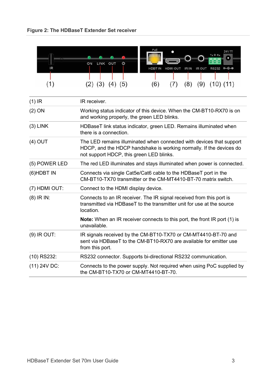

| $(1)$ IR       | IR receiver.                                                                                                                                                                            |  |  |
|----------------|-----------------------------------------------------------------------------------------------------------------------------------------------------------------------------------------|--|--|
| (2) ON         | Working status indicator of this device. When the CM-BT10-RX70 is on<br>and working properly, the green LED blinks.                                                                     |  |  |
| $(3)$ LINK     | HDBaseT link status indicator, green LED. Remains illuminated when<br>there is a connection.                                                                                            |  |  |
| $(4)$ OUT      | The LED remains illuminated when connected with devices that support<br>HDCP, and the HDCP handshake is working normally. If the devices do<br>not support HDCP, this green LED blinks. |  |  |
| (5) POWER LED  | The red LED illuminates and stays illuminated when power is connected.                                                                                                                  |  |  |
| $(6)$ HDBT IN  | Connects via single Cat5e/Cat6 cable to the HDBaseT port in the<br>CM-BT10-TX70 transmitter or the CM-MT4410-BT-70 matrix switch.                                                       |  |  |
| (7) HDMI OUT:  | Connect to the HDMI display device.                                                                                                                                                     |  |  |
| $(8)$ IR IN:   | Connects to an IR receiver. The IR signal received from this port is<br>transmitted via HDBaseT to the transmitter unit for use at the source<br>location.                              |  |  |
|                | <b>Note:</b> When an IR receiver connects to this port, the front IR port (1) is<br>unavailable.                                                                                        |  |  |
| $(9)$ IR OUT:  | IR signals received by the CM-BT10-TX70 or CM-MT4410-BT-70 and<br>sent via HDBaseT to the CM-BT10-RX70 are available for emitter use<br>from this port.                                 |  |  |
| (10) RS232:    | RS232 connector. Supports bi-directional RS232 communication.                                                                                                                           |  |  |
| $(11)$ 24V DC: | Connects to the power supply. Not required when using PoC supplied by<br>the CM-BT10-TX70 or CM-MT4410-BT-70.                                                                           |  |  |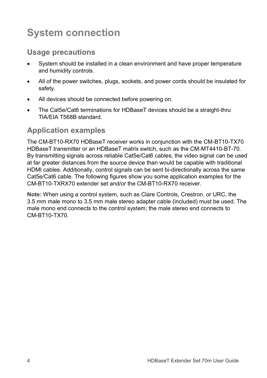## **System connection**

### **Usage precautions**

- System should be installed in a clean environment and have proper temperature and humidity controls.
- All of the power switches, plugs, sockets, and power cords should be insulated for safety.
- All devices should be connected before powering on.
- The Cat5e/Cat6 terminations for HDBaseT devices should be a straight-thru TIA/EIA T568B standard.

### **Application examples**

The CM-BT10-RX70 HDBaseT receiver works in conjunction with the CM-BT10-TX70 HDBaseT transmitter or an HDBaseT matrix switch, such as the CM-MT4410-BT-70. By transmitting signals across reliable Cat5e/Cat6 cables, the video signal can be used at far greater distances from the source device than would be capable with traditional HDMI cables. Additionally, control signals can be sent bi-directionally across the same Cat5e/Cat6 cable. The following figures show you some application examples for the CM-BT10-TXRX70 extender set and/or the CM-BT10-RX70 receiver.

**Note:** When using a control system, such as Clare Controls, Crestron, or URC, the 3.5 mm male mono to 3.5 mm male stereo adapter cable (included) must be used. The male mono end connects to the control system; the male stereo end connects to CM-BT10-TX70.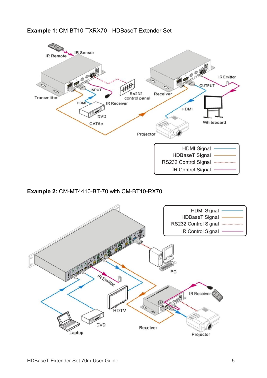#### **Example 1:** CM-BT10-TXRX70 - HDBaseT Extender Set



#### **Example 2:** CM-MT4410-BT-70 with CM-BT10-RX70

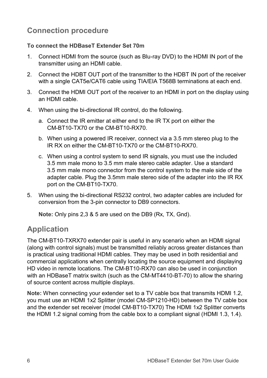## **Connection procedure**

#### **To connect the HDBaseT Extender Set 70m**

- 1. Connect HDMI from the source (such as Blu-ray DVD) to the HDMI IN port of the transmitter using an HDMI cable.
- 2. Connect the HDBT OUT port of the transmitter to the HDBT IN port of the receiver with a single CAT5e/CAT6 cable using TIA/EIA T568B terminations at each end.
- 3. Connect the HDMI OUT port of the receiver to an HDMI in port on the display using an HDMI cable.
- 4. When using the bi-directional IR control, do the following.
	- a. Connect the IR emitter at either end to the IR TX port on either the CM-BT10-TX70 or the CM-BT10-RX70.
	- b. When using a powered IR receiver, connect via a 3.5 mm stereo plug to the IR RX on either the CM-BT10-TX70 or the CM-BT10-RX70.
	- c. When using a control system to send IR signals, you must use the included 3.5 mm male mono to 3.5 mm male stereo cable adapter. Use a standard 3.5 mm male mono connector from the control system to the male side of the adapter cable. Plug the 3.5mm male stereo side of the adapter into the IR RX port on the CM-BT10-TX70.
- 5. When using the bi-directional RS232 control, two adapter cables are included for conversion from the 3-pin connector to DB9 connectors.

**Note:** Only pins 2,3 & 5 are used on the DB9 (Rx, TX, Gnd).

## **Application**

The CM-BT10-TXRX70 extender pair is useful in any scenario when an HDMI signal (along with control signals) must be transmitted reliably across greater distances than is practical using traditional HDMI cables. They may be used in both residential and commercial applications when centrally locating the source equipment and displaying HD video in remote locations. The CM-BT10-RX70 can also be used in conjunction with an HDBaseT matrix switch (such as the CM-MT4410-BT-70) to allow the sharing of source content across multiple displays.

**Note:** When connecting your extender set to a TV cable box that transmits HDMI 1.2, you must use an HDMI 1x2 Splitter (model CM-SP1210-HD) between the TV cable box and the extender set receiver (model CM-BT10-TX70) The HDMI 1x2 Splitter converts the HDMI 1.2 signal coming from the cable box to a compliant signal (HDMI 1.3, 1.4).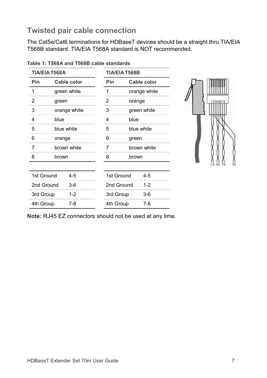### **Twisted pair cable connection**

The Cat5e/Cat6 terminations for HDBaseT devices should be a straight thru TIA/EIA T568B standard. TIA/EIA T568A standard is NOT recommended.

|                      | <b>TIA/EIA T568A</b> |            | <b>TIA/EIA T568B</b> |              |
|----------------------|----------------------|------------|----------------------|--------------|
| Pin                  | Cable color          | Pin        |                      | Cable color  |
| 1                    | green white          | 1          |                      | orange white |
| 2                    | green                | 2          | orange               |              |
| 3                    | orange white         | 3          |                      | green white  |
| 4                    | blue                 | 4          | blue                 |              |
| 5                    | blue white           | 5          | blue white           |              |
| 6                    | orange               | 6          | green                |              |
| 7                    | brown white          | 7          |                      | brown white  |
| 8                    | brown                |            | brown                |              |
| 1st Ground           | $4 - 5$              | 1st Ground |                      | $4 - 5$      |
| 2nd Ground<br>$3-6$  |                      | 2nd Ground |                      | $1 - 2$      |
| $1 - 2$<br>3rd Group |                      | 3rd Group  |                      | $3-6$        |
| 4th Group<br>$7-8$   |                      | 4th Group  |                      | 7-8          |
|                      |                      |            |                      |              |

**Table 1: T568A and T568B cable standards**

**Note:** RJ45 EZ connectors should not be used at any time.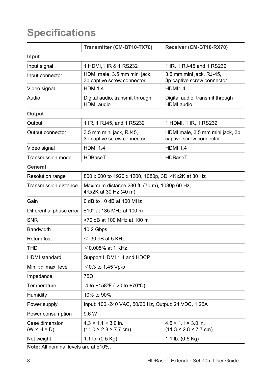## **Specifications**

|                                           | Transmitter (CM-BT10-TX70)                                                                                          | Receiver (CM-BT10-RX70)                                              |  |  |  |  |  |
|-------------------------------------------|---------------------------------------------------------------------------------------------------------------------|----------------------------------------------------------------------|--|--|--|--|--|
| Input                                     |                                                                                                                     |                                                                      |  |  |  |  |  |
| Input signal                              | 1 HDMI, 1 IR & 1 RS232                                                                                              | 1 IR, 1 RJ-45 and 1 RS232                                            |  |  |  |  |  |
| Input connector                           | HDMI male, 3.5 mm mini jack,<br>3p captive screw connector                                                          | 3.5 mm mini jack, RJ-45,<br>3p captive screw connector               |  |  |  |  |  |
| Video signal                              | <b>HDMI1.4</b>                                                                                                      | <b>HDMI1.4</b>                                                       |  |  |  |  |  |
| Audio                                     | Digital audio, transmit through<br><b>HDMI</b> audio                                                                | Digital audio, transmit through<br><b>HDMI</b> audio                 |  |  |  |  |  |
| Output                                    |                                                                                                                     |                                                                      |  |  |  |  |  |
| Output                                    | 1 IR, 1 RJ45, and 1 RS232                                                                                           | 1 HDMI, 1 IR, 1 RS232                                                |  |  |  |  |  |
| Output connector                          | HDMI male, 3.5 mm mini jack, 3p<br>3.5 mm mini jack, RJ45,<br>3p captive screw connector<br>captive screw connector |                                                                      |  |  |  |  |  |
| Video signal                              | <b>HDMI 1.4</b>                                                                                                     | <b>HDMI 1.4</b>                                                      |  |  |  |  |  |
| Transmission mode                         | HDBaseT                                                                                                             | HDBaseT                                                              |  |  |  |  |  |
| General                                   |                                                                                                                     |                                                                      |  |  |  |  |  |
| Resolution range                          | 800 x 600 to 1920 x 1200, 1080p, 3D, 4Kx2K at 30 Hz                                                                 |                                                                      |  |  |  |  |  |
| Transmission distance                     | Maximum distance 230 ft. (70 m), 1080p 60 Hz,<br>4Kx2K at 30 Hz (40 m)                                              |                                                                      |  |  |  |  |  |
| Gain                                      | 0 dB to 10 dB at 100 MHz                                                                                            |                                                                      |  |  |  |  |  |
| Differential phase error                  | ±10° at 135 MHz at 100 m                                                                                            |                                                                      |  |  |  |  |  |
| <b>SNR</b>                                | >70 dB at 100 MHz at 100 m                                                                                          |                                                                      |  |  |  |  |  |
| <b>Bandwidth</b>                          | 10.2 Gbps                                                                                                           |                                                                      |  |  |  |  |  |
| Return lost                               | $<$ -30 dB at 5 KHz                                                                                                 |                                                                      |  |  |  |  |  |
| THD                                       | $<$ 0.005% at 1 KHz                                                                                                 |                                                                      |  |  |  |  |  |
| <b>HDMI</b> standard                      | Support HDMI 1.4 and HDCP                                                                                           |                                                                      |  |  |  |  |  |
| Min. to max. level                        | $<$ 0.3 to 1.45 Vp-p                                                                                                |                                                                      |  |  |  |  |  |
| Impedance                                 | 75Ω                                                                                                                 |                                                                      |  |  |  |  |  |
| Temperature                               | -4 to +158°F (-20 to +70°C)                                                                                         |                                                                      |  |  |  |  |  |
| Humidity                                  | 10% to 90%                                                                                                          |                                                                      |  |  |  |  |  |
| Power supply                              | Input: 100~240 VAC, 50/60 Hz, Output: 24 VDC, 1.25A                                                                 |                                                                      |  |  |  |  |  |
| Power consumption                         | 9.6 W                                                                                                               |                                                                      |  |  |  |  |  |
| Case dimension<br>$(W \times H \times D)$ | $4.3 \times 1.1 \times 3.0$ in.<br>$(11.0 \times 2.8 \times 7.7$ cm)                                                | $4.5 \times 1.1 \times 3.0$ in.<br>$(11.3 \times 2.8 \times 7.7$ cm) |  |  |  |  |  |
| Net weight                                | 1.1 lb. $(0.5 \text{ Kg})$                                                                                          | 1.1 lb. $(0.5 \text{ Kg})$                                           |  |  |  |  |  |

**Note:** All nominal levels are at ±10%.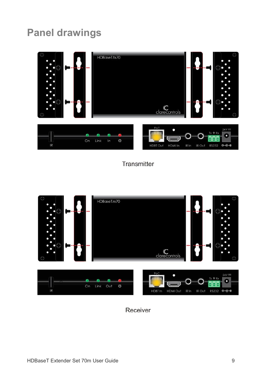## **Panel drawings**



### Transmitter



Receiver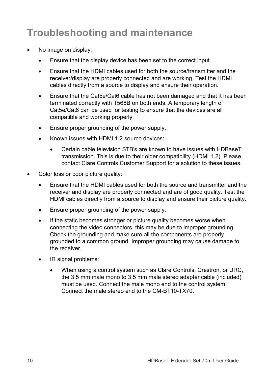## **Troubleshooting and maintenance**

- No image on display:
	- Ensure that the display device has been set to the correct input.
	- Ensure that the HDMI cables used for both the source/transmitter and the receiver/display are properly connected and are working. Test the HDMI cables directly from a source to display and ensure their operation.
	- Ensure that the Cat5e/Cat6 cable has not been damaged and that it has been terminated correctly with T568B on both ends. A temporary length of Cat5e/Cat6 can be used for testing to ensure that the devices are all compatible and working properly.
	- Ensure proper grounding of the power supply.
	- Known issues with HDMI 1.2 source devices:
		- Certain cable television STB's are known to have issues with HDBaseT transmission. This is due to their older compatibility (HDMI 1.2). Please contact Clare Controls Customer Support for a solution to these issues.
- Color loss or poor picture quality:
	- Ensure that the HDMI cables used for both the source and transmitter and the receiver and display are properly connected and are of good quality. Test the HDMI cables directly from a source to display and ensure their picture quality.
	- Ensure proper grounding of the power supply.
	- If the static becomes stronger or picture quality becomes worse when connecting the video connectors, this may be due to improper grounding. Check the grounding and make sure all the components are properly grounded to a common ground. Improper grounding may cause damage to the receiver.
	- IR signal problems:
		- When using a control system such as Clare Controls, Crestron, or URC, the 3.5 mm male mono to 3.5 mm male stereo adapter cable (included) must be used. Connect the male mono end to the control system. Connect the male stereo end to the CM-BT10-TX70.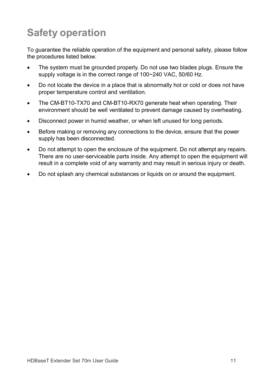## **Safety operation**

To guarantee the reliable operation of the equipment and personal safety, please follow the procedures listed below.

- The system must be grounded properly. Do not use two blades plugs. Ensure the supply voltage is in the correct range of 100~240 VAC, 50/60 Hz.
- Do not locate the device in a place that is abnormally hot or cold or does not have proper temperature control and ventilation.
- The CM-BT10-TX70 and CM-BT10-RX70 generate heat when operating. Their environment should be well ventilated to prevent damage caused by overheating.
- Disconnect power in humid weather, or when left unused for long periods.
- Before making or removing any connections to the device, ensure that the power supply has been disconnected.
- Do not attempt to open the enclosure of the equipment. Do not attempt any repairs. There are no user-serviceable parts inside. Any attempt to open the equipment will result in a complete void of any warranty and may result in serious injury or death.
- Do not splash any chemical substances or liquids on or around the equipment.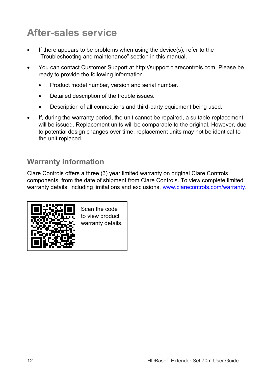## **After-sales service**

- If there appears to be problems when using the device(s), refer to the "Troubleshooting and maintenance" section in this manual.
- You can contact Customer Support at http://support.clarecontrols.com. Please be ready to provide the following information.
	- Product model number, version and serial number.
	- Detailed description of the trouble issues.
	- Description of all connections and third-party equipment being used.
- If, during the warranty period, the unit cannot be repaired, a suitable replacement will be issued. Replacement units will be comparable to the original. However, due to potential design changes over time, replacement units may not be identical to the unit replaced.

## **Warranty information**

Clare Controls offers a three (3) year limited warranty on original Clare Controls components, from the date of shipment from Clare Controls. To view complete limited warranty details, including limitations and exclusions[, www.clarecontrols.com/warranty.](http://www.clarecontrols.com/warranty)